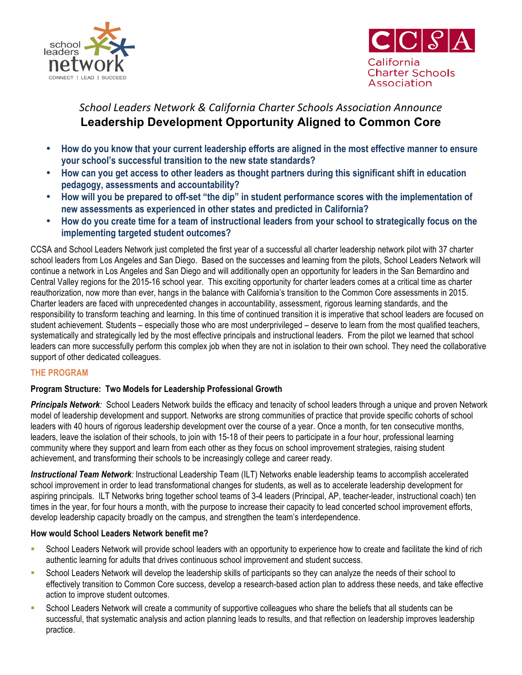



# *School Leaders Network & California Charter Schools Association Announce* **Leadership Development Opportunity Aligned to Common Core**

- **How do you know that your current leadership efforts are aligned in the most effective manner to ensure your school's successful transition to the new state standards?**
- **How can you get access to other leaders as thought partners during this significant shift in education pedagogy, assessments and accountability?**
- **How will you be prepared to off-set "the dip" in student performance scores with the implementation of new assessments as experienced in other states and predicted in California?**
- **How do you create time for a team of instructional leaders from your school to strategically focus on the implementing targeted student outcomes?**

CCSA and School Leaders Network just completed the first year of a successful all charter leadership network pilot with 37 charter school leaders from Los Angeles and San Diego. Based on the successes and learning from the pilots, School Leaders Network will continue a network in Los Angeles and San Diego and will additionally open an opportunity for leaders in the San Bernardino and Central Valley regions for the 2015-16 school year. This exciting opportunity for charter leaders comes at a critical time as charter reauthorization, now more than ever, hangs in the balance with California's transition to the Common Core assessments in 2015. Charter leaders are faced with unprecedented changes in accountability, assessment, rigorous learning standards, and the responsibility to transform teaching and learning. In this time of continued transition it is imperative that school leaders are focused on student achievement. Students – especially those who are most underprivileged – deserve to learn from the most qualified teachers, systematically and strategically led by the most effective principals and instructional leaders. From the pilot we learned that school leaders can more successfully perform this complex job when they are not in isolation to their own school. They need the collaborative support of other dedicated colleagues.

## **THE PROGRAM**

## **Program Structure: Two Models for Leadership Professional Growth**

*Principals Network:* School Leaders Network builds the efficacy and tenacity of school leaders through a unique and proven Network model of leadership development and support. Networks are strong communities of practice that provide specific cohorts of school leaders with 40 hours of rigorous leadership development over the course of a year. Once a month, for ten consecutive months, leaders, leave the isolation of their schools, to join with 15-18 of their peers to participate in a four hour, professional learning community where they support and learn from each other as they focus on school improvement strategies, raising student achievement, and transforming their schools to be increasingly college and career ready.

*Instructional Team Network:* Instructional Leadership Team (ILT) Networks enable leadership teams to accomplish accelerated school improvement in order to lead transformational changes for students, as well as to accelerate leadership development for aspiring principals. ILT Networks bring together school teams of 3-4 leaders (Principal, AP, teacher-leader, instructional coach) ten times in the year, for four hours a month, with the purpose to increase their capacity to lead concerted school improvement efforts, develop leadership capacity broadly on the campus, and strengthen the team's interdependence.

## **How would School Leaders Network benefit me?**

- School Leaders Network will provide school leaders with an opportunity to experience how to create and facilitate the kind of rich authentic learning for adults that drives continuous school improvement and student success.
- School Leaders Network will develop the leadership skills of participants so they can analyze the needs of their school to effectively transition to Common Core success, develop a research-based action plan to address these needs, and take effective action to improve student outcomes.
- § School Leaders Network will create a community of supportive colleagues who share the beliefs that all students can be successful, that systematic analysis and action planning leads to results, and that reflection on leadership improves leadership practice.